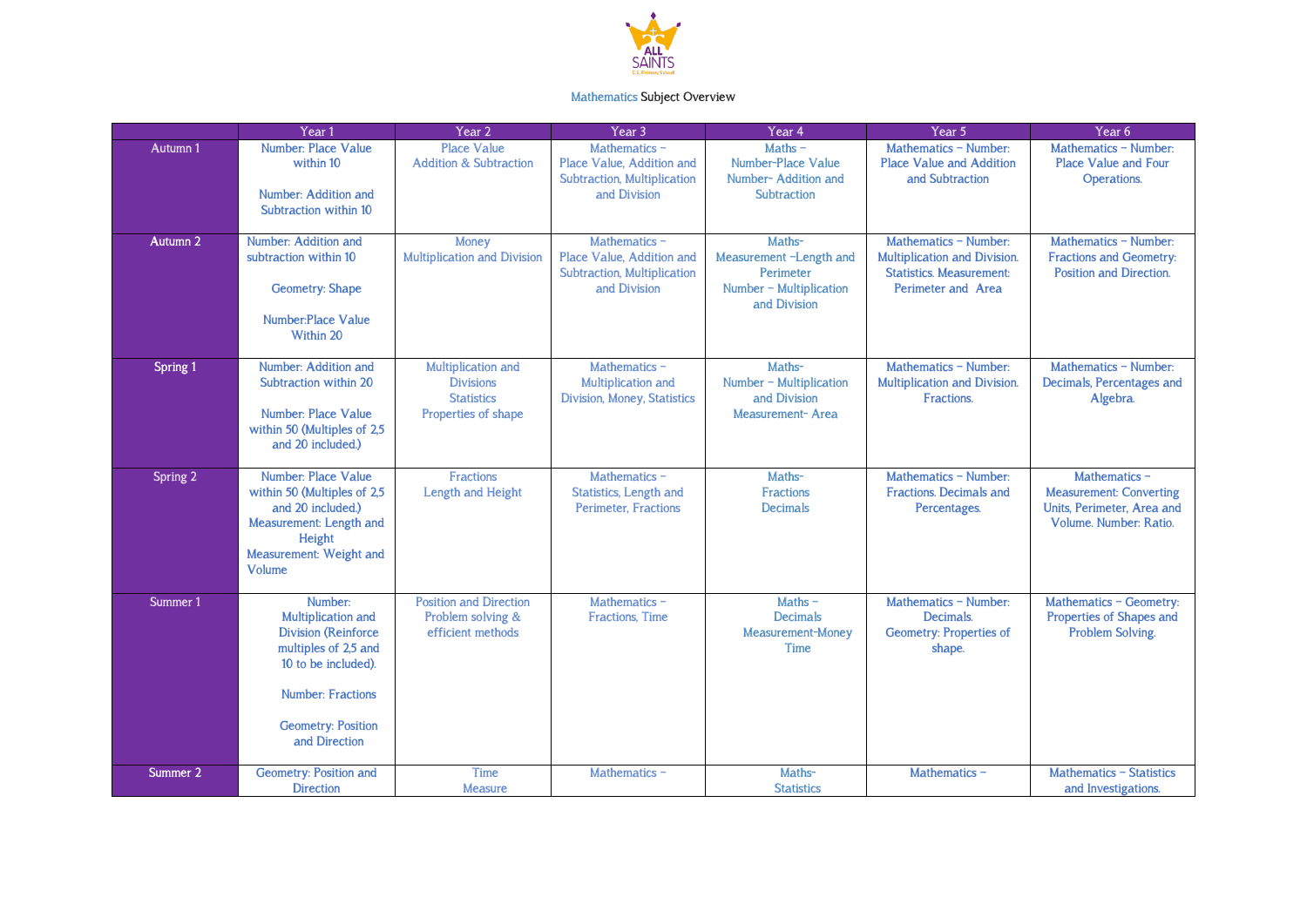

## Mathematics Subject Overview

|          | Year <sub>1</sub>                                                                                                                                                                    | Year 2                                                                             | Year <sub>3</sub>                                                                         | Year 4                                                                                    | Year 5                                                                                                         | Year <sub>6</sub>                                                                                       |
|----------|--------------------------------------------------------------------------------------------------------------------------------------------------------------------------------------|------------------------------------------------------------------------------------|-------------------------------------------------------------------------------------------|-------------------------------------------------------------------------------------------|----------------------------------------------------------------------------------------------------------------|---------------------------------------------------------------------------------------------------------|
| Autumn 1 | Number: Place Value<br>within 10<br>Number: Addition and<br>Subtraction within 10                                                                                                    | <b>Place Value</b><br><b>Addition &amp; Subtraction</b>                            | Mathematics -<br>Place Value, Addition and<br>Subtraction, Multiplication<br>and Division | $Maths -$<br>Number-Place Value<br>Number-Addition and<br>Subtraction                     | Mathematics - Number:<br><b>Place Value and Addition</b><br>and Subtraction                                    | Mathematics - Number:<br><b>Place Value and Four</b><br>Operations.                                     |
| Autumn 2 | Number: Addition and<br>subtraction within 10<br><b>Geometry: Shape</b><br>Number:Place Value<br>Within 20                                                                           | Money<br>Multiplication and Division                                               | Mathematics -<br>Place Value, Addition and<br>Subtraction, Multiplication<br>and Division | Maths-<br>Measurement -Length and<br>Perimeter<br>Number - Multiplication<br>and Division | Mathematics - Number:<br>Multiplication and Division.<br><b>Statistics. Measurement:</b><br>Perimeter and Area | Mathematics - Number:<br><b>Fractions and Geometry:</b><br>Position and Direction.                      |
| Spring 1 | Number: Addition and<br>Subtraction within 20<br>Number: Place Value<br>within 50 (Multiples of 2,5<br>and 20 included.)                                                             | Multiplication and<br><b>Divisions</b><br><b>Statistics</b><br>Properties of shape | Mathematics -<br>Multiplication and<br>Division, Money, Statistics                        | Maths-<br>Number $\neg$ Multiplication<br>and Division<br>Measurement-Area                | Mathematics - Number:<br>Multiplication and Division.<br>Fractions.                                            | Mathematics - Number:<br>Decimals, Percentages and<br>Algebra.                                          |
| Spring 2 | Number: Place Value<br>within 50 (Multiples of 2,5<br>and 20 included.)<br>Measurement: Length and<br>Height<br>Measurement: Weight and<br><b>Volume</b>                             | Fractions<br>Length and Height                                                     | Mathematics -<br>Statistics, Length and<br><b>Perimeter, Fractions</b>                    | Maths-<br><b>Fractions</b><br><b>Decimals</b>                                             | Mathematics - Number:<br><b>Fractions. Decimals and</b><br>Percentages.                                        | Mathematics -<br><b>Measurement: Converting</b><br>Units, Perimeter, Area and<br>Volume. Number: Ratio. |
| Summer 1 | Number:<br>Multiplication and<br><b>Division (Reinforce</b><br>multiples of 2,5 and<br>10 to be included).<br><b>Number: Fractions</b><br><b>Geometry: Position</b><br>and Direction | <b>Position and Direction</b><br>Problem solving &<br>efficient methods            | Mathematics -<br>Fractions, Time                                                          | Maths $-$<br><b>Decimals</b><br>Measurement-Money<br>Time                                 | Mathematics - Number:<br>Decimals.<br>Geometry: Properties of<br>shape.                                        | Mathematics - Geometry:<br>Properties of Shapes and<br>Problem Solving.                                 |
| Summer 2 | Geometry: Position and<br><b>Direction</b>                                                                                                                                           | Time<br><b>Measure</b>                                                             | Mathematics -                                                                             | Maths-<br><b>Statistics</b>                                                               | Mathematics -                                                                                                  | Mathematics - Statistics<br>and Investigations.                                                         |